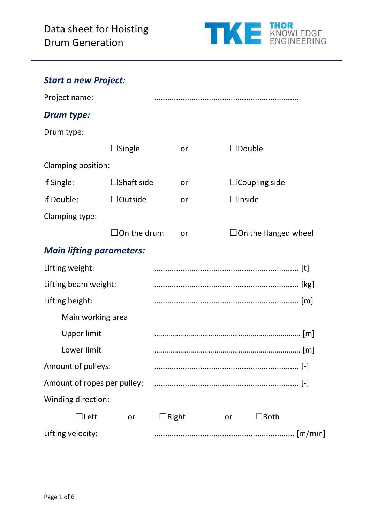

# *Start a new Project:*

| Project name:                   |                                                                                                        |              |    |                                   |                       |           |
|---------------------------------|--------------------------------------------------------------------------------------------------------|--------------|----|-----------------------------------|-----------------------|-----------|
| <b>Drum type:</b>               |                                                                                                        |              |    |                                   |                       |           |
| Drum type:                      |                                                                                                        |              |    |                                   |                       |           |
|                                 | <b>Single</b>                                                                                          |              | or | $\operatorname{\mathsf{IDouble}}$ |                       |           |
| Clamping position:              |                                                                                                        |              |    |                                   |                       |           |
| If Single:                      | <b>Shaft side</b>                                                                                      |              | or |                                   | $\Box$ Coupling side  |           |
| If Double:                      | $\Box$ Outside                                                                                         |              | or | $\Box$ Inside                     |                       |           |
| Clamping type:                  |                                                                                                        |              |    |                                   |                       |           |
|                                 | $\mathsf{IOn}% \left( \mathcal{M}\right) \equiv\mathsf{On}\left( \mathcal{M}\right)$ and $\mathsf{In}$ |              | or |                                   | □On the flanged wheel |           |
| <b>Main lifting parameters:</b> |                                                                                                        |              |    |                                   |                       |           |
| Lifting weight:                 |                                                                                                        |              |    |                                   |                       |           |
| Lifting beam weight:            |                                                                                                        |              |    |                                   |                       |           |
| Lifting height:                 |                                                                                                        |              |    |                                   |                       |           |
| Main working area               |                                                                                                        |              |    |                                   |                       |           |
| <b>Upper limit</b>              |                                                                                                        |              |    |                                   |                       |           |
| Lower limit                     |                                                                                                        |              |    |                                   |                       |           |
| Amount of pulleys:              |                                                                                                        |              |    |                                   |                       | $[\cdot]$ |
|                                 |                                                                                                        |              |    |                                   |                       |           |
| Winding direction:              |                                                                                                        |              |    |                                   |                       |           |
| $\Box$ Left                     | or                                                                                                     | $\Box$ Right |    | or                                | $\Box$ Both           |           |
| Lifting velocity:               |                                                                                                        |              |    |                                   |                       |           |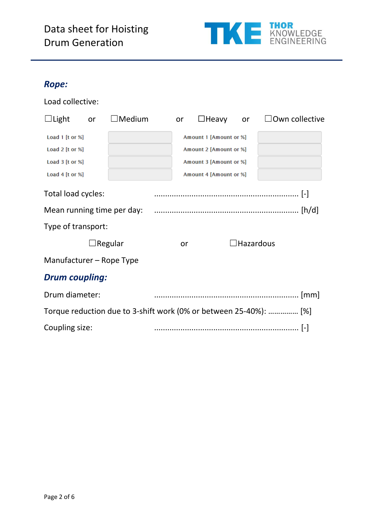# Data sheet for Hoisting Drum Generation



#### *Rope:*

Load collective:

| $\Box$ Light             | or | $\Box$ Medium              | or | $\Box$ Heavy           | or               | $\Box$ Own collective                                             |
|--------------------------|----|----------------------------|----|------------------------|------------------|-------------------------------------------------------------------|
| Load 1 [t or %]          |    |                            |    | Amount 1 [Amount or %] |                  |                                                                   |
| Load $2$ [t or %]        |    |                            |    | Amount 2 [Amount or %] |                  |                                                                   |
| Load 3 [t or %]          |    |                            |    | Amount 3 [Amount or %] |                  |                                                                   |
| Load 4 $[$ t or % $]$    |    |                            |    | Amount 4 [Amount or %] |                  |                                                                   |
| Total load cycles:       |    |                            |    |                        |                  |                                                                   |
|                          |    | Mean running time per day: |    |                        |                  |                                                                   |
| Type of transport:       |    |                            |    |                        |                  |                                                                   |
|                          |    | ∃Regular                   | or |                        | $\Box$ Hazardous |                                                                   |
| Manufacturer – Rope Type |    |                            |    |                        |                  |                                                                   |
| <b>Drum coupling:</b>    |    |                            |    |                        |                  |                                                                   |
| Drum diameter:           |    |                            |    |                        |                  |                                                                   |
|                          |    |                            |    |                        |                  | Torque reduction due to 3-shift work (0% or between 25-40%):  [%] |
| Coupling size:           |    |                            |    |                        |                  |                                                                   |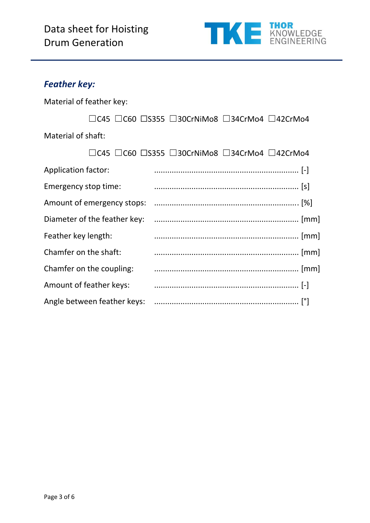

## *Feather key:*

Material of feather key:

|                    |  | $\Box$ C45 $\Box$ C60 $\Box$ S355 $\Box$ 30CrNiMo8 $\Box$ 34CrMo4 $\Box$ 42CrMo4 |  |
|--------------------|--|----------------------------------------------------------------------------------|--|
| Material of shaft: |  |                                                                                  |  |

|                            | □C45 □C60 □S355 □30CrNiMo8 □34CrMo4 □42CrMo4 |
|----------------------------|----------------------------------------------|
| Application factor:        |                                              |
| Emergency stop time:       |                                              |
| Amount of emergency stops: |                                              |
|                            |                                              |
| Feather key length:        |                                              |
| Chamfer on the shaft:      |                                              |
| Chamfer on the coupling:   |                                              |
| Amount of feather keys:    |                                              |
|                            |                                              |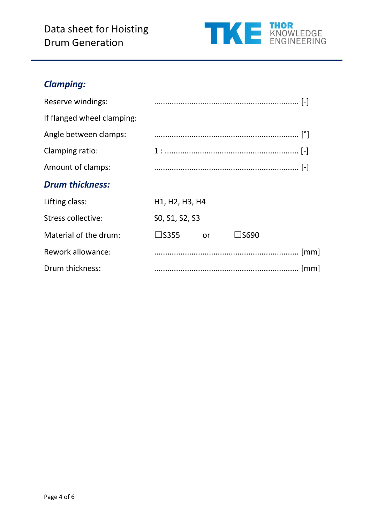# Data sheet for Hoisting Drum Generation



## *Clamping:*

| Reserve windings:          |                                                                   |
|----------------------------|-------------------------------------------------------------------|
| If flanged wheel clamping: |                                                                   |
| Angle between clamps:      |                                                                   |
| Clamping ratio:            |                                                                   |
| Amount of clamps:          |                                                                   |
| <b>Drum thickness:</b>     |                                                                   |
| Lifting class:             | H <sub>1</sub> , H <sub>2</sub> , H <sub>3</sub> , H <sub>4</sub> |
| Stress collective:         | SO, S1, S2, S3                                                    |
| Material of the drum:      | $\square$ S355<br>∃S690<br>or                                     |
| Rework allowance:          |                                                                   |
| Drum thickness:            |                                                                   |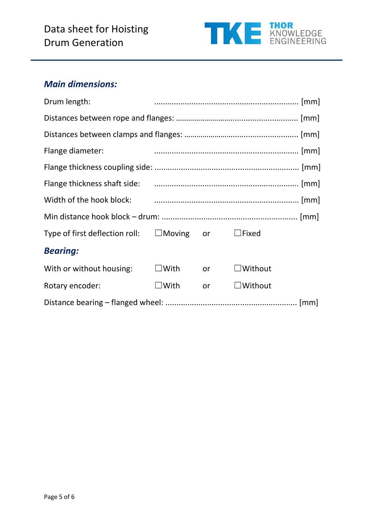

#### *Main dimensions:*

| Drum length:                                                 |                |    |                |  |
|--------------------------------------------------------------|----------------|----|----------------|--|
|                                                              |                |    |                |  |
|                                                              |                |    |                |  |
| Flange diameter:                                             |                |    |                |  |
|                                                              |                |    |                |  |
|                                                              |                |    |                |  |
|                                                              |                |    |                |  |
|                                                              |                |    |                |  |
| Type of first deflection roll: $\Box$ Moving or $\Box$ Fixed |                |    |                |  |
| <b>Bearing:</b>                                              |                |    |                |  |
| With or without housing: $\square$ With or                   |                |    | $\Box$ Without |  |
| Rotary encoder:                                              | $\square$ With | or | $\Box$ Without |  |
|                                                              |                |    |                |  |